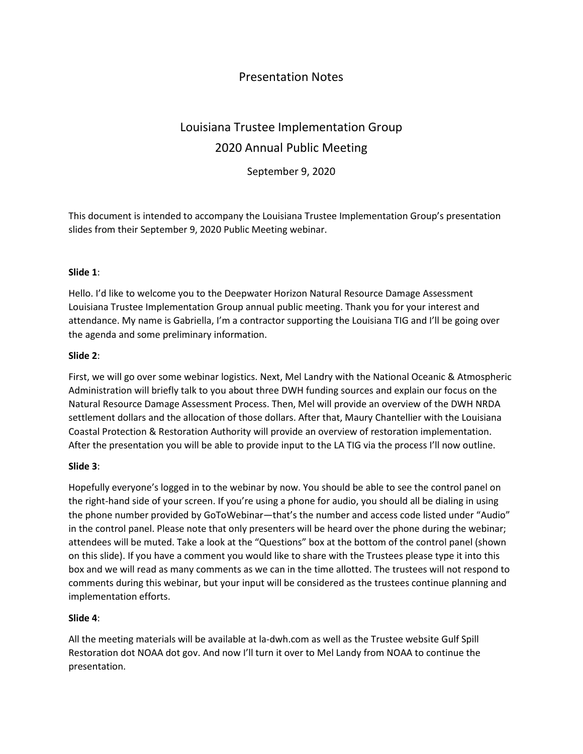# Presentation Notes

# Louisiana Trustee Implementation Group 2020 Annual Public Meeting

September 9, 2020

This document is intended to accompany the Louisiana Trustee Implementation Group's presentation slides from their September 9, 2020 Public Meeting webinar.

#### **Slide 1**:

Hello. I'd like to welcome you to the Deepwater Horizon Natural Resource Damage Assessment Louisiana Trustee Implementation Group annual public meeting. Thank you for your interest and attendance. My name is Gabriella, I'm a contractor supporting the Louisiana TIG and I'll be going over the agenda and some preliminary information.

#### **Slide 2**:

First, we will go over some webinar logistics. Next, Mel Landry with the National Oceanic & Atmospheric Administration will briefly talk to you about three DWH funding sources and explain our focus on the Natural Resource Damage Assessment Process. Then, Mel will provide an overview of the DWH NRDA settlement dollars and the allocation of those dollars. After that, Maury Chantellier with the Louisiana Coastal Protection & Restoration Authority will provide an overview of restoration implementation. After the presentation you will be able to provide input to the LA TIG via the process I'll now outline.

#### **Slide 3**:

Hopefully everyone's logged in to the webinar by now. You should be able to see the control panel on the right-hand side of your screen. If you're using a phone for audio, you should all be dialing in using the phone number provided by GoToWebinar—that's the number and access code listed under "Audio" in the control panel. Please note that only presenters will be heard over the phone during the webinar; attendees will be muted. Take a look at the "Questions" box at the bottom of the control panel (shown on this slide). If you have a comment you would like to share with the Trustees please type it into this box and we will read as many comments as we can in the time allotted. The trustees will not respond to comments during this webinar, but your input will be considered as the trustees continue planning and implementation efforts.

## **Slide 4**:

All the meeting materials will be available at la-dwh.com as well as the Trustee website Gulf Spill Restoration dot NOAA dot gov. And now I'll turn it over to Mel Landy from NOAA to continue the presentation.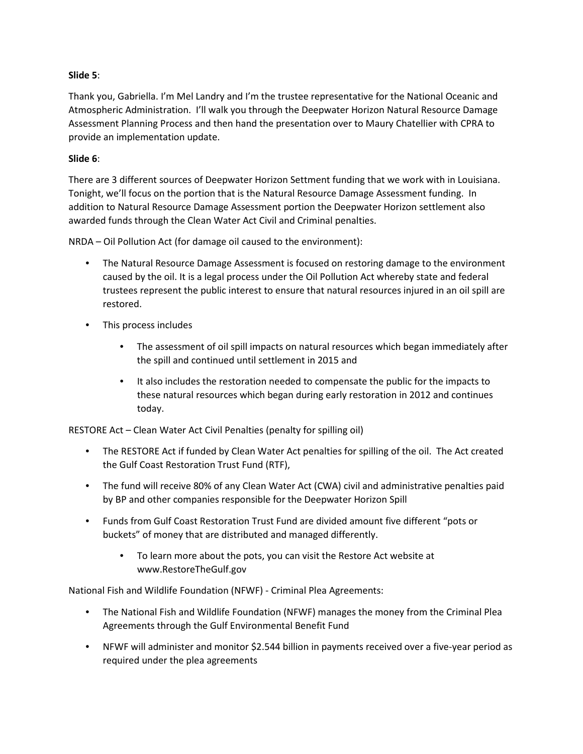#### **Slide 5**:

Thank you, Gabriella. I'm Mel Landry and I'm the trustee representative for the National Oceanic and Atmospheric Administration. I'll walk you through the Deepwater Horizon Natural Resource Damage Assessment Planning Process and then hand the presentation over to Maury Chatellier with CPRA to provide an implementation update.

#### **Slide 6**:

There are 3 different sources of Deepwater Horizon Settment funding that we work with in Louisiana. Tonight, we'll focus on the portion that is the Natural Resource Damage Assessment funding. In addition to Natural Resource Damage Assessment portion the Deepwater Horizon settlement also awarded funds through the Clean Water Act Civil and Criminal penalties.

NRDA – Oil Pollution Act (for damage oil caused to the environment):

- The Natural Resource Damage Assessment is focused on restoring damage to the environment caused by the oil. It is a legal process under the Oil Pollution Act whereby state and federal trustees represent the public interest to ensure that natural resources injured in an oil spill are restored.
- This process includes
	- The assessment of oil spill impacts on natural resources which began immediately after the spill and continued until settlement in 2015 and
	- It also includes the restoration needed to compensate the public for the impacts to these natural resources which began during early restoration in 2012 and continues today.

RESTORE Act – Clean Water Act Civil Penalties (penalty for spilling oil)

- The RESTORE Act if funded by Clean Water Act penalties for spilling of the oil. The Act created the Gulf Coast Restoration Trust Fund (RTF),
- The fund will receive 80% of any Clean Water Act (CWA) civil and administrative penalties paid by BP and other companies responsible for the Deepwater Horizon Spill
- Funds from Gulf Coast Restoration Trust Fund are divided amount five different "pots or buckets" of money that are distributed and managed differently.
	- To learn more about the pots, you can visit the Restore Act website at www.RestoreTheGulf.gov

National Fish and Wildlife Foundation (NFWF) - Criminal Plea Agreements:

- The National Fish and Wildlife Foundation (NFWF) manages the money from the Criminal Plea Agreements through the Gulf Environmental Benefit Fund
- NFWF will administer and monitor \$2.544 billion in payments received over a five-year period as required under the plea agreements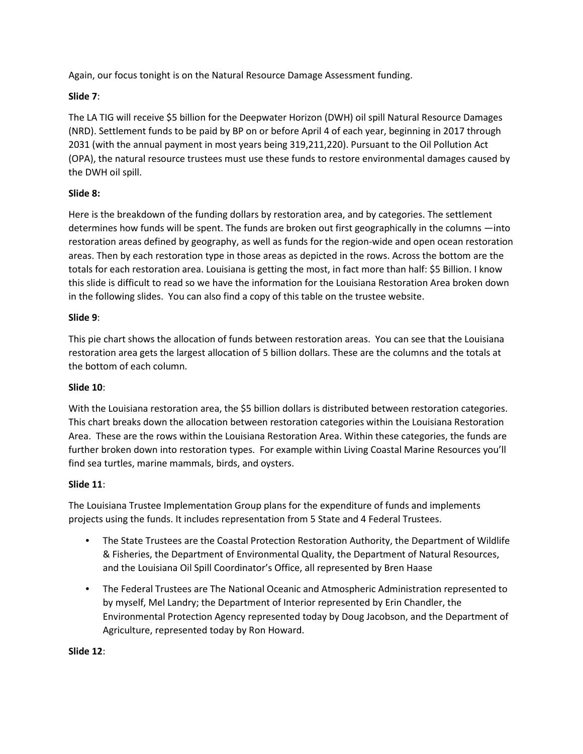Again, our focus tonight is on the Natural Resource Damage Assessment funding.

# **Slide 7**:

The LA TIG will receive \$5 billion for the Deepwater Horizon (DWH) oil spill Natural Resource Damages (NRD). Settlement funds to be paid by BP on or before April 4 of each year, beginning in 2017 through 2031 (with the annual payment in most years being 319,211,220). Pursuant to the Oil Pollution Act (OPA), the natural resource trustees must use these funds to restore environmental damages caused by the DWH oil spill.

# **Slide 8:**

Here is the breakdown of the funding dollars by restoration area, and by categories. The settlement determines how funds will be spent. The funds are broken out first geographically in the columns —into restoration areas defined by geography, as well as funds for the region-wide and open ocean restoration areas. Then by each restoration type in those areas as depicted in the rows. Across the bottom are the totals for each restoration area. Louisiana is getting the most, in fact more than half: \$5 Billion. I know this slide is difficult to read so we have the information for the Louisiana Restoration Area broken down in the following slides. You can also find a copy of this table on the trustee website.

## **Slide 9**:

This pie chart shows the allocation of funds between restoration areas. You can see that the Louisiana restoration area gets the largest allocation of 5 billion dollars. These are the columns and the totals at the bottom of each column.

## **Slide 10**:

With the Louisiana restoration area, the \$5 billion dollars is distributed between restoration categories. This chart breaks down the allocation between restoration categories within the Louisiana Restoration Area. These are the rows within the Louisiana Restoration Area. Within these categories, the funds are further broken down into restoration types. For example within Living Coastal Marine Resources you'll find sea turtles, marine mammals, birds, and oysters.

## **Slide 11**:

The Louisiana Trustee Implementation Group plans for the expenditure of funds and implements projects using the funds. It includes representation from 5 State and 4 Federal Trustees.

- The State Trustees are the Coastal Protection Restoration Authority, the Department of Wildlife & Fisheries, the Department of Environmental Quality, the Department of Natural Resources, and the Louisiana Oil Spill Coordinator's Office, all represented by Bren Haase
- The Federal Trustees are The National Oceanic and Atmospheric Administration represented to by myself, Mel Landry; the Department of Interior represented by Erin Chandler, the Environmental Protection Agency represented today by Doug Jacobson, and the Department of Agriculture, represented today by Ron Howard.

#### **Slide 12**: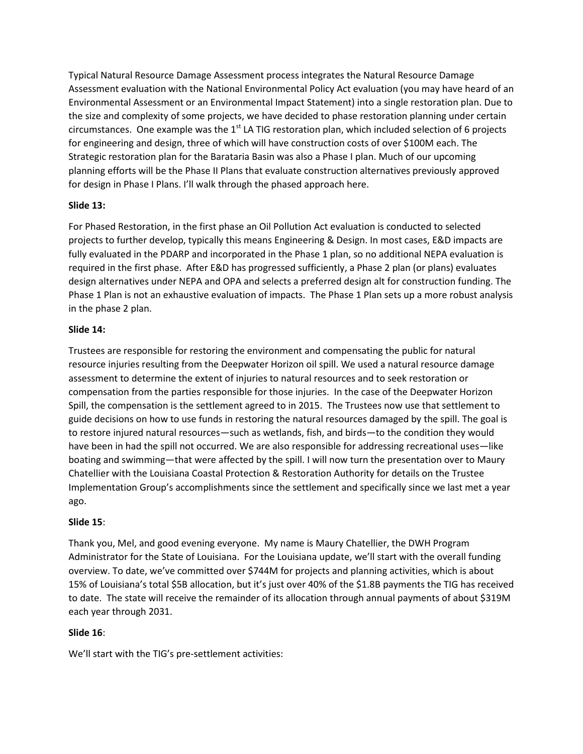Typical Natural Resource Damage Assessment process integrates the Natural Resource Damage Assessment evaluation with the National Environmental Policy Act evaluation (you may have heard of an Environmental Assessment or an Environmental Impact Statement) into a single restoration plan. Due to the size and complexity of some projects, we have decided to phase restoration planning under certain circumstances. One example was the  $1<sup>st</sup>$  LA TIG restoration plan, which included selection of 6 projects for engineering and design, three of which will have construction costs of over \$100M each. The Strategic restoration plan for the Barataria Basin was also a Phase I plan. Much of our upcoming planning efforts will be the Phase II Plans that evaluate construction alternatives previously approved for design in Phase I Plans. I'll walk through the phased approach here.

#### **Slide 13:**

For Phased Restoration, in the first phase an Oil Pollution Act evaluation is conducted to selected projects to further develop, typically this means Engineering & Design. In most cases, E&D impacts are fully evaluated in the PDARP and incorporated in the Phase 1 plan, so no additional NEPA evaluation is required in the first phase. After E&D has progressed sufficiently, a Phase 2 plan (or plans) evaluates design alternatives under NEPA and OPA and selects a preferred design alt for construction funding. The Phase 1 Plan is not an exhaustive evaluation of impacts. The Phase 1 Plan sets up a more robust analysis in the phase 2 plan.

#### **Slide 14:**

Trustees are responsible for restoring the environment and compensating the public for natural resource injuries resulting from the Deepwater Horizon oil spill. We used a natural resource damage assessment to determine the extent of injuries to natural resources and to seek restoration or compensation from the parties responsible for those injuries. In the case of the Deepwater Horizon Spill, the compensation is the settlement agreed to in 2015. The Trustees now use that settlement to guide decisions on how to use funds in restoring the natural resources damaged by the spill. The goal is to restore injured natural resources—such as wetlands, fish, and birds—to the condition they would have been in had the spill not occurred. We are also responsible for addressing recreational uses—like boating and swimming—that were affected by the spill. I will now turn the presentation over to Maury Chatellier with the Louisiana Coastal Protection & Restoration Authority for details on the Trustee Implementation Group's accomplishments since the settlement and specifically since we last met a year ago.

## **Slide 15**:

Thank you, Mel, and good evening everyone. My name is Maury Chatellier, the DWH Program Administrator for the State of Louisiana. For the Louisiana update, we'll start with the overall funding overview. To date, we've committed over \$744M for projects and planning activities, which is about 15% of Louisiana's total \$5B allocation, but it's just over 40% of the \$1.8B payments the TIG has received to date. The state will receive the remainder of its allocation through annual payments of about \$319M each year through 2031.

## **Slide 16**:

We'll start with the TIG's pre-settlement activities: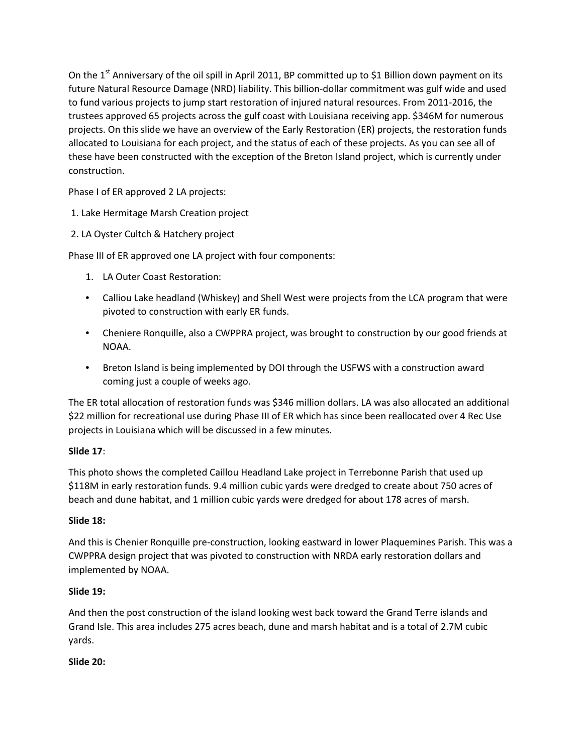On the  $1<sup>st</sup>$  Anniversary of the oil spill in April 2011, BP committed up to \$1 Billion down payment on its future Natural Resource Damage (NRD) liability. This billion-dollar commitment was gulf wide and used to fund various projects to jump start restoration of injured natural resources. From 2011-2016, the trustees approved 65 projects across the gulf coast with Louisiana receiving app. \$346M for numerous projects. On this slide we have an overview of the Early Restoration (ER) projects, the restoration funds allocated to Louisiana for each project, and the status of each of these projects. As you can see all of these have been constructed with the exception of the Breton Island project, which is currently under construction.

Phase I of ER approved 2 LA projects:

1. Lake Hermitage Marsh Creation project

2. LA Oyster Cultch & Hatchery project

Phase III of ER approved one LA project with four components:

- 1. LA Outer Coast Restoration:
- Calliou Lake headland (Whiskey) and Shell West were projects from the LCA program that were pivoted to construction with early ER funds.
- Cheniere Ronquille, also a CWPPRA project, was brought to construction by our good friends at NOAA.
- Breton Island is being implemented by DOI through the USFWS with a construction award coming just a couple of weeks ago.

The ER total allocation of restoration funds was \$346 million dollars. LA was also allocated an additional \$22 million for recreational use during Phase III of ER which has since been reallocated over 4 Rec Use projects in Louisiana which will be discussed in a few minutes.

## **Slide 17**:

This photo shows the completed Caillou Headland Lake project in Terrebonne Parish that used up \$118M in early restoration funds. 9.4 million cubic yards were dredged to create about 750 acres of beach and dune habitat, and 1 million cubic yards were dredged for about 178 acres of marsh.

## **Slide 18:**

And this is Chenier Ronquille pre-construction, looking eastward in lower Plaquemines Parish. This was a CWPPRA design project that was pivoted to construction with NRDA early restoration dollars and implemented by NOAA.

## **Slide 19:**

And then the post construction of the island looking west back toward the Grand Terre islands and Grand Isle. This area includes 275 acres beach, dune and marsh habitat and is a total of 2.7M cubic yards.

## **Slide 20:**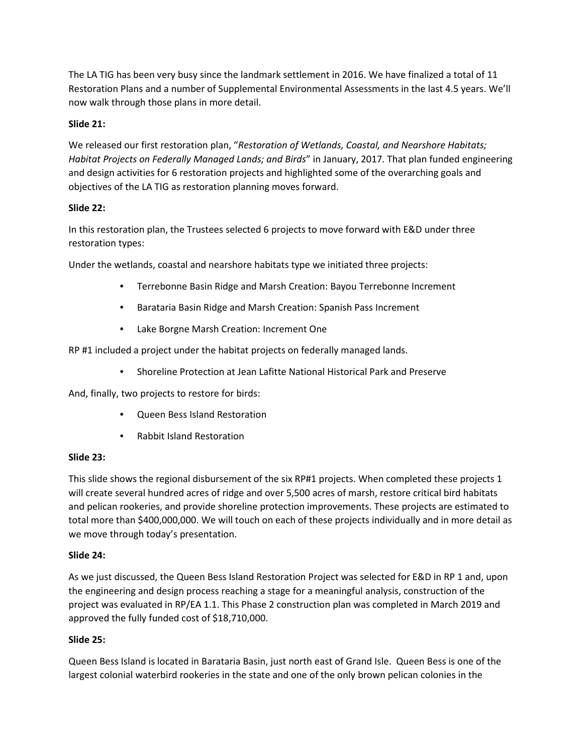The LA TIG has been very busy since the landmark settlement in 2016. We have finalized a total of 11 Restoration Plans and a number of Supplemental Environmental Assessments in the last 4.5 years. We'll now walk through those plans in more detail.

## **Slide 21:**

We released our first restoration plan, "*Restoration of Wetlands, Coastal, and Nearshore Habitats; Habitat Projects on Federally Managed Lands; and Birds*" in January, 2017. That plan funded engineering and design activities for 6 restoration projects and highlighted some of the overarching goals and objectives of the LA TIG as restoration planning moves forward.

## **Slide 22:**

In this restoration plan, the Trustees selected 6 projects to move forward with E&D under three restoration types:

Under the wetlands, coastal and nearshore habitats type we initiated three projects:

- Terrebonne Basin Ridge and Marsh Creation: Bayou Terrebonne Increment
- Barataria Basin Ridge and Marsh Creation: Spanish Pass Increment
- Lake Borgne Marsh Creation: Increment One

RP #1 included a project under the habitat projects on federally managed lands.

• Shoreline Protection at Jean Lafitte National Historical Park and Preserve

And, finally, two projects to restore for birds:

- Queen Bess Island Restoration
- Rabbit Island Restoration

## **Slide 23:**

This slide shows the regional disbursement of the six RP#1 projects. When completed these projects 1 will create several hundred acres of ridge and over 5,500 acres of marsh, restore critical bird habitats and pelican rookeries, and provide shoreline protection improvements. These projects are estimated to total more than \$400,000,000. We will touch on each of these projects individually and in more detail as we move through today's presentation.

## **Slide 24:**

As we just discussed, the Queen Bess Island Restoration Project was selected for E&D in RP 1 and, upon the engineering and design process reaching a stage for a meaningful analysis, construction of the project was evaluated in RP/EA 1.1. This Phase 2 construction plan was completed in March 2019 and approved the fully funded cost of \$18,710,000.

## **Slide 25:**

Queen Bess Island is located in Barataria Basin, just north east of Grand Isle. Queen Bess is one of the largest colonial waterbird rookeries in the state and one of the only brown pelican colonies in the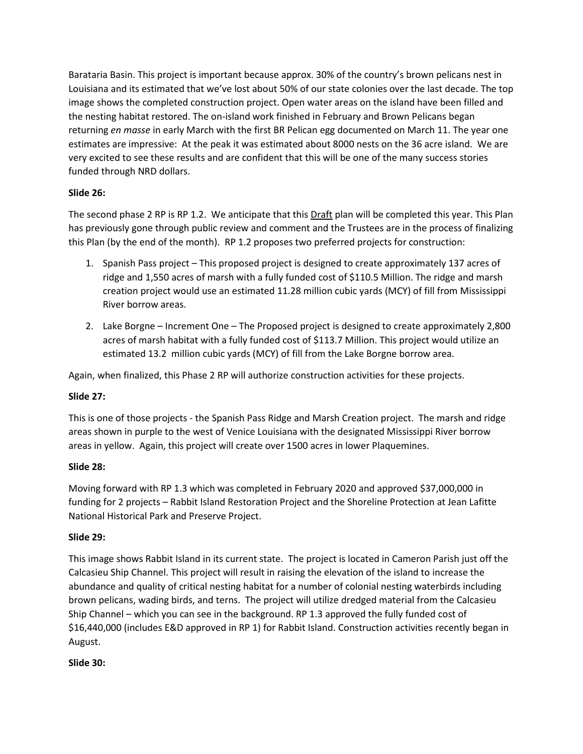Barataria Basin. This project is important because approx. 30% of the country's brown pelicans nest in Louisiana and its estimated that we've lost about 50% of our state colonies over the last decade. The top image shows the completed construction project. Open water areas on the island have been filled and the nesting habitat restored. The on-island work finished in February and Brown Pelicans began returning *en masse* in early March with the first BR Pelican egg documented on March 11. The year one estimates are impressive: At the peak it was estimated about 8000 nests on the 36 acre island. We are very excited to see these results and are confident that this will be one of the many success stories funded through NRD dollars.

# **Slide 26:**

The second phase 2 RP is RP 1.2. We anticipate that this Draft plan will be completed this year. This Plan has previously gone through public review and comment and the Trustees are in the process of finalizing this Plan (by the end of the month). RP 1.2 proposes two preferred projects for construction:

- 1. Spanish Pass project This proposed project is designed to create approximately 137 acres of ridge and 1,550 acres of marsh with a fully funded cost of \$110.5 Million. The ridge and marsh creation project would use an estimated 11.28 million cubic yards (MCY) of fill from Mississippi River borrow areas.
- 2. Lake Borgne Increment One The Proposed project is designed to create approximately 2,800 acres of marsh habitat with a fully funded cost of \$113.7 Million. This project would utilize an estimated 13.2 million cubic yards (MCY) of fill from the Lake Borgne borrow area.

Again, when finalized, this Phase 2 RP will authorize construction activities for these projects.

# **Slide 27:**

This is one of those projects - the Spanish Pass Ridge and Marsh Creation project. The marsh and ridge areas shown in purple to the west of Venice Louisiana with the designated Mississippi River borrow areas in yellow. Again, this project will create over 1500 acres in lower Plaquemines.

# **Slide 28:**

Moving forward with RP 1.3 which was completed in February 2020 and approved \$37,000,000 in funding for 2 projects – Rabbit Island Restoration Project and the Shoreline Protection at Jean Lafitte National Historical Park and Preserve Project.

## **Slide 29:**

This image shows Rabbit Island in its current state. The project is located in Cameron Parish just off the Calcasieu Ship Channel. This project will result in raising the elevation of the island to increase the abundance and quality of critical nesting habitat for a number of colonial nesting waterbirds including brown pelicans, wading birds, and terns. The project will utilize dredged material from the Calcasieu Ship Channel – which you can see in the background. RP 1.3 approved the fully funded cost of \$16,440,000 (includes E&D approved in RP 1) for Rabbit Island. Construction activities recently began in August.

# **Slide 30:**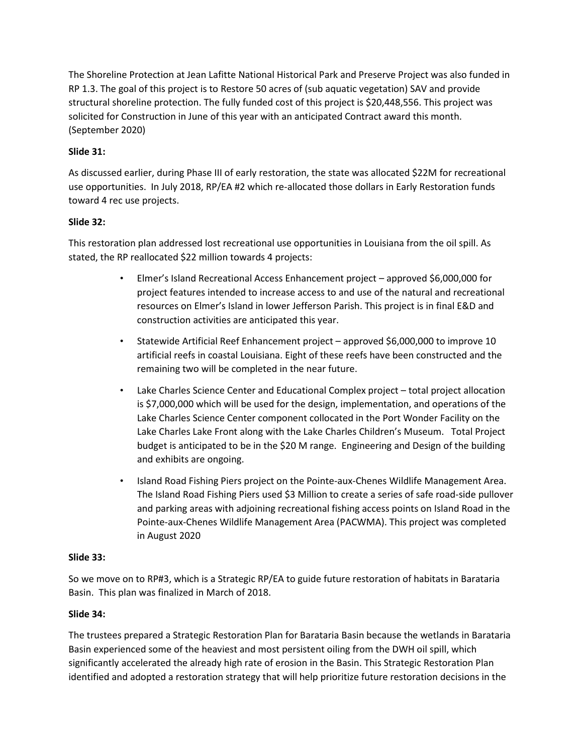The Shoreline Protection at Jean Lafitte National Historical Park and Preserve Project was also funded in RP 1.3. The goal of this project is to Restore 50 acres of (sub aquatic vegetation) SAV and provide structural shoreline protection. The fully funded cost of this project is \$20,448,556. This project was solicited for Construction in June of this year with an anticipated Contract award this month. (September 2020)

# **Slide 31:**

As discussed earlier, during Phase III of early restoration, the state was allocated \$22M for recreational use opportunities. In July 2018, RP/EA #2 which re-allocated those dollars in Early Restoration funds toward 4 rec use projects.

## **Slide 32:**

This restoration plan addressed lost recreational use opportunities in Louisiana from the oil spill. As stated, the RP reallocated \$22 million towards 4 projects:

- Elmer's Island Recreational Access Enhancement project approved \$6,000,000 for project features intended to increase access to and use of the natural and recreational resources on Elmer's Island in lower Jefferson Parish. This project is in final E&D and construction activities are anticipated this year.
- Statewide Artificial Reef Enhancement project approved \$6,000,000 to improve 10 artificial reefs in coastal Louisiana. Eight of these reefs have been constructed and the remaining two will be completed in the near future.
- Lake Charles Science Center and Educational Complex project total project allocation is \$7,000,000 which will be used for the design, implementation, and operations of the Lake Charles Science Center component collocated in the Port Wonder Facility on the Lake Charles Lake Front along with the Lake Charles Children's Museum. Total Project budget is anticipated to be in the \$20 M range. Engineering and Design of the building and exhibits are ongoing.
- Island Road Fishing Piers project on the Pointe-aux-Chenes Wildlife Management Area. The Island Road Fishing Piers used \$3 Million to create a series of safe road-side pullover and parking areas with adjoining recreational fishing access points on Island Road in the Pointe-aux-Chenes Wildlife Management Area (PACWMA). This project was completed in August 2020

## **Slide 33:**

So we move on to RP#3, which is a Strategic RP/EA to guide future restoration of habitats in Barataria Basin. This plan was finalized in March of 2018.

## **Slide 34:**

The trustees prepared a Strategic Restoration Plan for Barataria Basin because the wetlands in Barataria Basin experienced some of the heaviest and most persistent oiling from the DWH oil spill, which significantly accelerated the already high rate of erosion in the Basin. This Strategic Restoration Plan identified and adopted a restoration strategy that will help prioritize future restoration decisions in the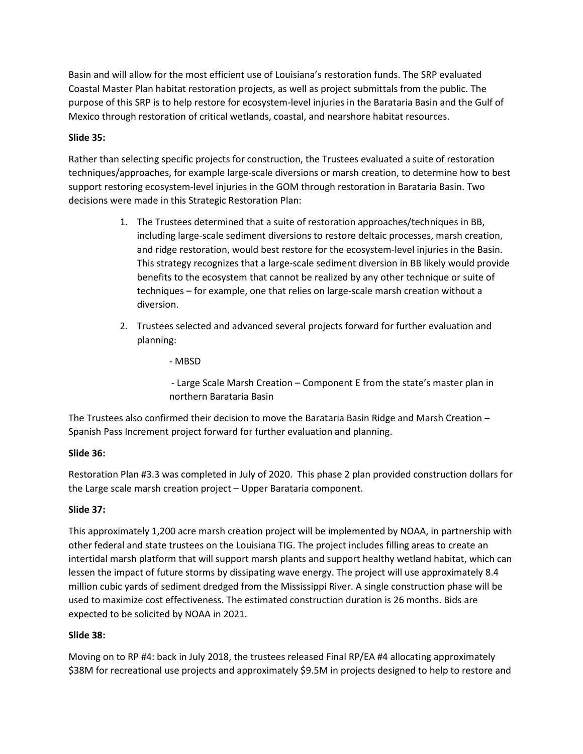Basin and will allow for the most efficient use of Louisiana's restoration funds. The SRP evaluated Coastal Master Plan habitat restoration projects, as well as project submittals from the public. The purpose of this SRP is to help restore for ecosystem-level injuries in the Barataria Basin and the Gulf of Mexico through restoration of critical wetlands, coastal, and nearshore habitat resources.

#### **Slide 35:**

Rather than selecting specific projects for construction, the Trustees evaluated a suite of restoration techniques/approaches, for example large-scale diversions or marsh creation, to determine how to best support restoring ecosystem-level injuries in the GOM through restoration in Barataria Basin. Two decisions were made in this Strategic Restoration Plan:

- 1. The Trustees determined that a suite of restoration approaches/techniques in BB, including large-scale sediment diversions to restore deltaic processes, marsh creation, and ridge restoration, would best restore for the ecosystem-level injuries in the Basin. This strategy recognizes that a large-scale sediment diversion in BB likely would provide benefits to the ecosystem that cannot be realized by any other technique or suite of techniques – for example, one that relies on large-scale marsh creation without a diversion.
- 2. Trustees selected and advanced several projects forward for further evaluation and planning:

- MBSD

- Large Scale Marsh Creation – Component E from the state's master plan in northern Barataria Basin

The Trustees also confirmed their decision to move the Barataria Basin Ridge and Marsh Creation – Spanish Pass Increment project forward for further evaluation and planning.

## **Slide 36:**

Restoration Plan #3.3 was completed in July of 2020. This phase 2 plan provided construction dollars for the Large scale marsh creation project – Upper Barataria component.

## **Slide 37:**

This approximately 1,200 acre marsh creation project will be implemented by NOAA, in partnership with other federal and state trustees on the Louisiana TIG. The project includes filling areas to create an intertidal marsh platform that will support marsh plants and support healthy wetland habitat, which can lessen the impact of future storms by dissipating wave energy. The project will use approximately 8.4 million cubic yards of sediment dredged from the Mississippi River. A single construction phase will be used to maximize cost effectiveness. The estimated construction duration is 26 months. Bids are expected to be solicited by NOAA in 2021.

#### **Slide 38:**

Moving on to RP #4: back in July 2018, the trustees released Final RP/EA #4 allocating approximately \$38M for recreational use projects and approximately \$9.5M in projects designed to help to restore and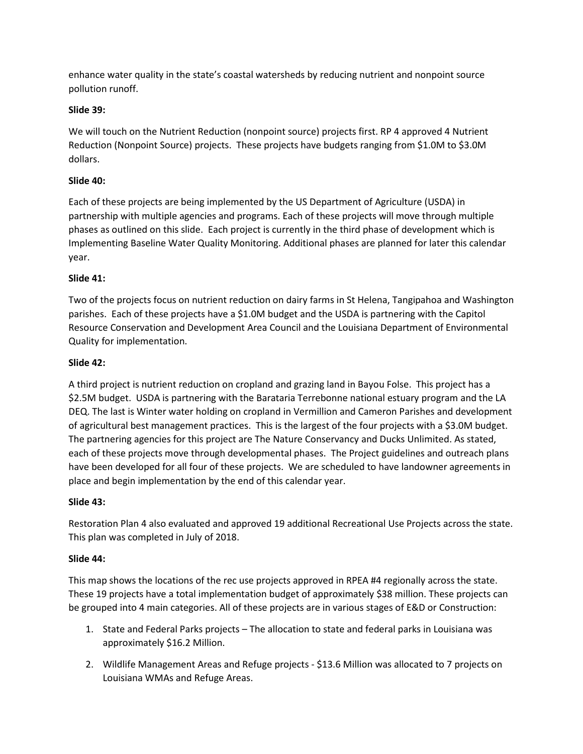enhance water quality in the state's coastal watersheds by reducing nutrient and nonpoint source pollution runoff.

## **Slide 39:**

We will touch on the Nutrient Reduction (nonpoint source) projects first. RP 4 approved 4 Nutrient Reduction (Nonpoint Source) projects. These projects have budgets ranging from \$1.0M to \$3.0M dollars.

# **Slide 40:**

Each of these projects are being implemented by the US Department of Agriculture (USDA) in partnership with multiple agencies and programs. Each of these projects will move through multiple phases as outlined on this slide. Each project is currently in the third phase of development which is Implementing Baseline Water Quality Monitoring. Additional phases are planned for later this calendar year.

# **Slide 41:**

Two of the projects focus on nutrient reduction on dairy farms in St Helena, Tangipahoa and Washington parishes. Each of these projects have a \$1.0M budget and the USDA is partnering with the Capitol Resource Conservation and Development Area Council and the Louisiana Department of Environmental Quality for implementation.

## **Slide 42:**

A third project is nutrient reduction on cropland and grazing land in Bayou Folse. This project has a \$2.5M budget. USDA is partnering with the Barataria Terrebonne national estuary program and the LA DEQ. The last is Winter water holding on cropland in Vermillion and Cameron Parishes and development of agricultural best management practices. This is the largest of the four projects with a \$3.0M budget. The partnering agencies for this project are The Nature Conservancy and Ducks Unlimited. As stated, each of these projects move through developmental phases. The Project guidelines and outreach plans have been developed for all four of these projects. We are scheduled to have landowner agreements in place and begin implementation by the end of this calendar year.

## **Slide 43:**

Restoration Plan 4 also evaluated and approved 19 additional Recreational Use Projects across the state. This plan was completed in July of 2018.

## **Slide 44:**

This map shows the locations of the rec use projects approved in RPEA #4 regionally across the state. These 19 projects have a total implementation budget of approximately \$38 million. These projects can be grouped into 4 main categories. All of these projects are in various stages of E&D or Construction:

- 1. State and Federal Parks projects The allocation to state and federal parks in Louisiana was approximately \$16.2 Million.
- 2. Wildlife Management Areas and Refuge projects \$13.6 Million was allocated to 7 projects on Louisiana WMAs and Refuge Areas.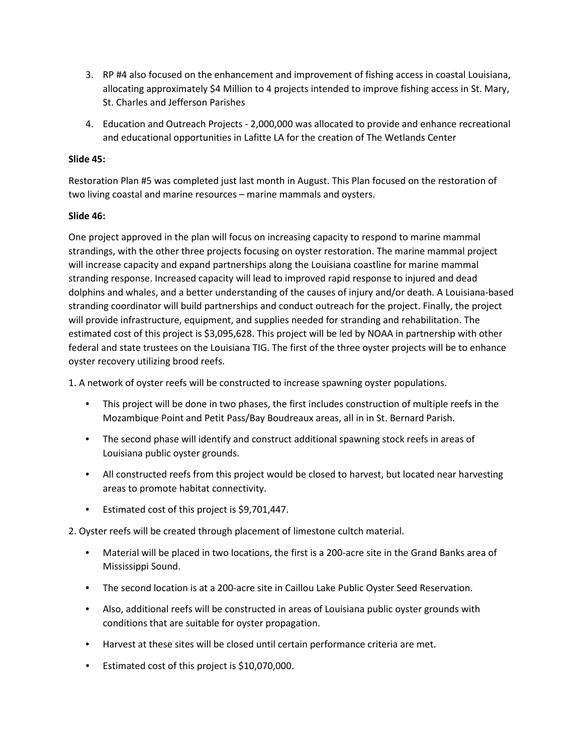- 3. RP #4 also focused on the enhancement and improvement of fishing access in coastal Louisiana, allocating approximately \$4 Million to 4 projects intended to improve fishing access in St. Mary, St. Charles and Jefferson Parishes
- 4. Education and Outreach Projects 2,000,000 was allocated to provide and enhance recreational and educational opportunities in Lafitte LA for the creation of The Wetlands Center

#### **Slide 45:**

Restoration Plan #5 was completed just last month in August. This Plan focused on the restoration of two living coastal and marine resources – marine mammals and oysters.

#### **Slide 46:**

One project approved in the plan will focus on increasing capacity to respond to marine mammal strandings, with the other three projects focusing on oyster restoration. The marine mammal project will increase capacity and expand partnerships along the Louisiana coastline for marine mammal stranding response. Increased capacity will lead to improved rapid response to injured and dead dolphins and whales, and a better understanding of the causes of injury and/or death. A Louisiana-based stranding coordinator will build partnerships and conduct outreach for the project. Finally, the project will provide infrastructure, equipment, and supplies needed for stranding and rehabilitation. The estimated cost of this project is \$3,095,628. This project will be led by NOAA in partnership with other federal and state trustees on the Louisiana TIG. The first of the three oyster projects will be to enhance oyster recovery utilizing brood reefs.

1. A network of oyster reefs will be constructed to increase spawning oyster populations.

- This project will be done in two phases, the first includes construction of multiple reefs in the Mozambique Point and Petit Pass/Bay Boudreaux areas, all in in St. Bernard Parish.
- The second phase will identify and construct additional spawning stock reefs in areas of Louisiana public oyster grounds.
- All constructed reefs from this project would be closed to harvest, but located near harvesting areas to promote habitat connectivity.
- Estimated cost of this project is \$9,701,447.

2. Oyster reefs will be created through placement of limestone cultch material.

- Material will be placed in two locations, the first is a 200-acre site in the Grand Banks area of Mississippi Sound.
- The second location is at a 200-acre site in Caillou Lake Public Oyster Seed Reservation.
- Also, additional reefs will be constructed in areas of Louisiana public oyster grounds with conditions that are suitable for oyster propagation.
- Harvest at these sites will be closed until certain performance criteria are met.
- Estimated cost of this project is \$10,070,000.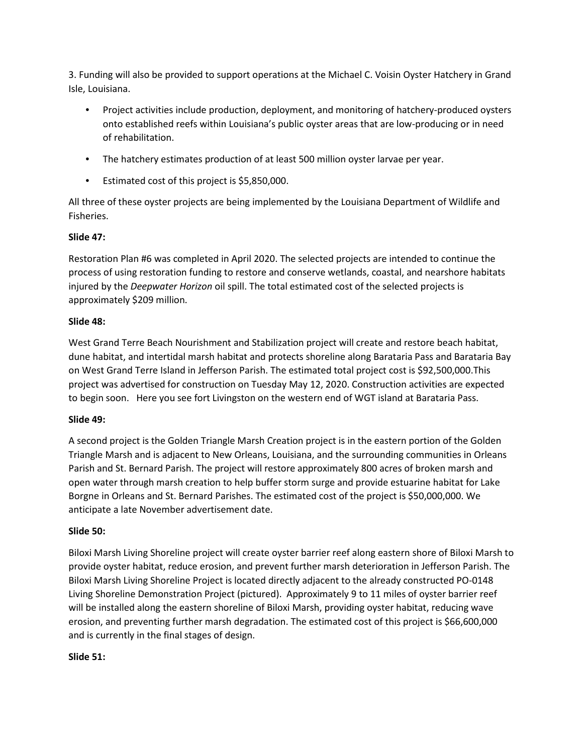3. Funding will also be provided to support operations at the Michael C. Voisin Oyster Hatchery in Grand Isle, Louisiana.

- Project activities include production, deployment, and monitoring of hatchery-produced oysters onto established reefs within Louisiana's public oyster areas that are low-producing or in need of rehabilitation.
- The hatchery estimates production of at least 500 million oyster larvae per year.
- Estimated cost of this project is \$5,850,000.

All three of these oyster projects are being implemented by the Louisiana Department of Wildlife and Fisheries.

#### **Slide 47:**

Restoration Plan #6 was completed in April 2020. The selected projects are intended to continue the process of using restoration funding to restore and conserve wetlands, coastal, and nearshore habitats injured by the *Deepwater Horizon* oil spill. The total estimated cost of the selected projects is approximately \$209 million.

#### **Slide 48:**

West Grand Terre Beach Nourishment and Stabilization project will create and restore beach habitat, dune habitat, and intertidal marsh habitat and protects shoreline along Barataria Pass and Barataria Bay on West Grand Terre Island in Jefferson Parish. The estimated total project cost is \$92,500,000.This project was advertised for construction on Tuesday May 12, 2020. Construction activities are expected to begin soon. Here you see fort Livingston on the western end of WGT island at Barataria Pass.

#### **Slide 49:**

A second project is the Golden Triangle Marsh Creation project is in the eastern portion of the Golden Triangle Marsh and is adjacent to New Orleans, Louisiana, and the surrounding communities in Orleans Parish and St. Bernard Parish. The project will restore approximately 800 acres of broken marsh and open water through marsh creation to help buffer storm surge and provide estuarine habitat for Lake Borgne in Orleans and St. Bernard Parishes. The estimated cost of the project is \$50,000,000. We anticipate a late November advertisement date.

#### **Slide 50:**

Biloxi Marsh Living Shoreline project will create oyster barrier reef along eastern shore of Biloxi Marsh to provide oyster habitat, reduce erosion, and prevent further marsh deterioration in Jefferson Parish. The Biloxi Marsh Living Shoreline Project is located directly adjacent to the already constructed PO-0148 Living Shoreline Demonstration Project (pictured). Approximately 9 to 11 miles of oyster barrier reef will be installed along the eastern shoreline of Biloxi Marsh, providing oyster habitat, reducing wave erosion, and preventing further marsh degradation. The estimated cost of this project is \$66,600,000 and is currently in the final stages of design.

#### **Slide 51:**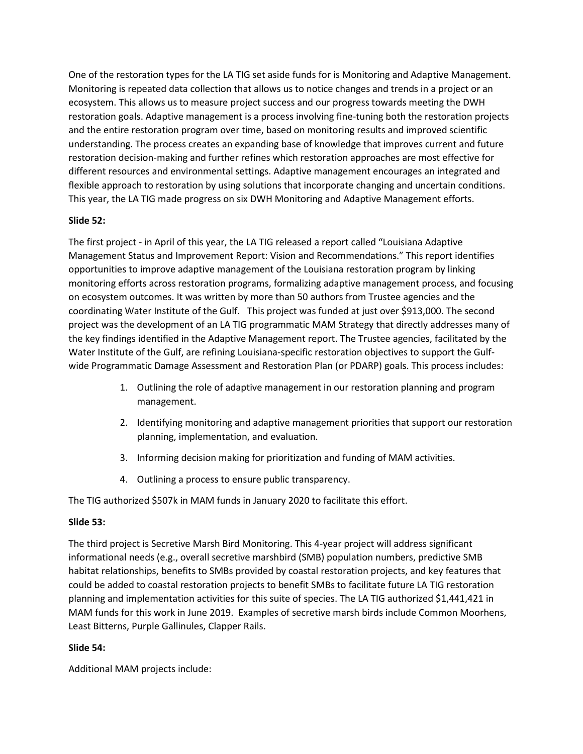One of the restoration types for the LA TIG set aside funds for is Monitoring and Adaptive Management. Monitoring is repeated data collection that allows us to notice changes and trends in a project or an ecosystem. This allows us to measure project success and our progress towards meeting the DWH restoration goals. Adaptive management is a process involving fine-tuning both the restoration projects and the entire restoration program over time, based on monitoring results and improved scientific understanding. The process creates an expanding base of knowledge that improves current and future restoration decision-making and further refines which restoration approaches are most effective for different resources and environmental settings. Adaptive management encourages an integrated and flexible approach to restoration by using solutions that incorporate changing and uncertain conditions. This year, the LA TIG made progress on six DWH Monitoring and Adaptive Management efforts.

## **Slide 52:**

The first project - in April of this year, the LA TIG released a report called "Louisiana Adaptive Management Status and Improvement Report: Vision and Recommendations." This report identifies opportunities to improve adaptive management of the Louisiana restoration program by linking monitoring efforts across restoration programs, formalizing adaptive management process, and focusing on ecosystem outcomes. It was written by more than 50 authors from Trustee agencies and the coordinating Water Institute of the Gulf. This project was funded at just over \$913,000. The second project was the development of an LA TIG programmatic MAM Strategy that directly addresses many of the key findings identified in the Adaptive Management report. The Trustee agencies, facilitated by the Water Institute of the Gulf, are refining Louisiana-specific restoration objectives to support the Gulfwide Programmatic Damage Assessment and Restoration Plan (or PDARP) goals. This process includes:

- 1. Outlining the role of adaptive management in our restoration planning and program management.
- 2. Identifying monitoring and adaptive management priorities that support our restoration planning, implementation, and evaluation.
- 3. Informing decision making for prioritization and funding of MAM activities.
- 4. Outlining a process to ensure public transparency.

The TIG authorized \$507k in MAM funds in January 2020 to facilitate this effort.

## **Slide 53:**

The third project is Secretive Marsh Bird Monitoring. This 4-year project will address significant informational needs (e.g., overall secretive marshbird (SMB) population numbers, predictive SMB habitat relationships, benefits to SMBs provided by coastal restoration projects, and key features that could be added to coastal restoration projects to benefit SMBs to facilitate future LA TIG restoration planning and implementation activities for this suite of species. The LA TIG authorized \$1,441,421 in MAM funds for this work in June 2019. Examples of secretive marsh birds include Common Moorhens, Least Bitterns, Purple Gallinules, Clapper Rails.

## **Slide 54:**

Additional MAM projects include: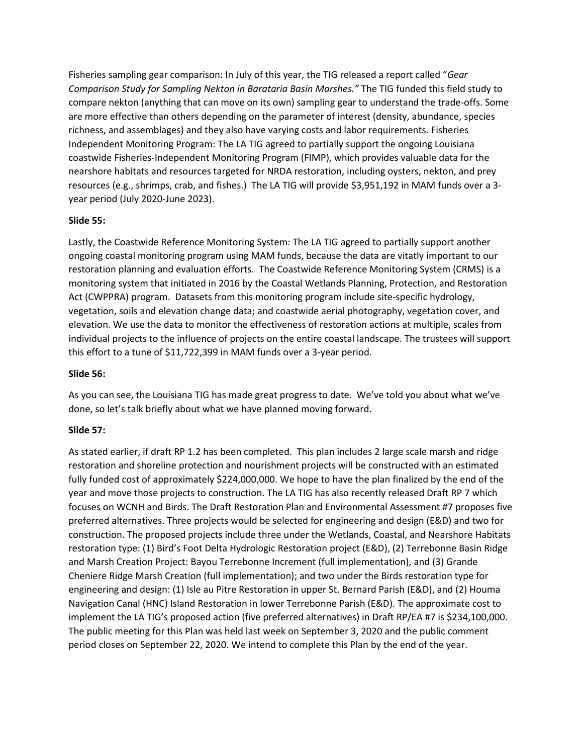Fisheries sampling gear comparison: In July of this year, the TIG released a report called "*Gear Comparison Study for Sampling Nekton in Barataria Basin Marshes."* The TIG funded this field study to compare nekton (anything that can move on its own) sampling gear to understand the trade-offs. Some are more effective than others depending on the parameter of interest (density, abundance, species richness, and assemblages) and they also have varying costs and labor requirements. Fisheries Independent Monitoring Program: The LA TIG agreed to partially support the ongoing Louisiana coastwide Fisheries-Independent Monitoring Program (FIMP), which provides valuable data for the nearshore habitats and resources targeted for NRDA restoration, including oysters, nekton, and prey resources (e.g., shrimps, crab, and fishes.) The LA TIG will provide \$3,951,192 in MAM funds over a 3 year period (July 2020-June 2023).

#### **Slide 55:**

Lastly, the Coastwide Reference Monitoring System: The LA TIG agreed to partially support another ongoing coastal monitoring program using MAM funds, because the data are vitatly important to our restoration planning and evaluation efforts. The Coastwide Reference Monitoring System (CRMS) is a monitoring system that initiated in 2016 by the Coastal Wetlands Planning, Protection, and Restoration Act (CWPPRA) program. Datasets from this monitoring program include site-specific hydrology, vegetation, soils and elevation change data; and coastwide aerial photography, vegetation cover, and elevation. We use the data to monitor the effectiveness of restoration actions at multiple, scales from individual projects to the influence of projects on the entire coastal landscape. The trustees will support this effort to a tune of \$11,722,399 in MAM funds over a 3-year period.

#### **Slide 56:**

As you can see, the Louisiana TIG has made great progress to date. We've told you about what we've done, so let's talk briefly about what we have planned moving forward.

## **Slide 57:**

As stated earlier, if draft RP 1.2 has been completed. This plan includes 2 large scale marsh and ridge restoration and shoreline protection and nourishment projects will be constructed with an estimated fully funded cost of approximately \$224,000,000. We hope to have the plan finalized by the end of the year and move those projects to construction. The LA TIG has also recently released Draft RP 7 which focuses on WCNH and Birds. The Draft Restoration Plan and Environmental Assessment #7 proposes five preferred alternatives. Three projects would be selected for engineering and design (E&D) and two for construction. The proposed projects include three under the Wetlands, Coastal, and Nearshore Habitats restoration type: (1) Bird's Foot Delta Hydrologic Restoration project (E&D), (2) Terrebonne Basin Ridge and Marsh Creation Project: Bayou Terrebonne Increment (full implementation), and (3) Grande Cheniere Ridge Marsh Creation (full implementation); and two under the Birds restoration type for engineering and design: (1) Isle au Pitre Restoration in upper St. Bernard Parish (E&D), and (2) Houma Navigation Canal (HNC) Island Restoration in lower Terrebonne Parish (E&D). The approximate cost to implement the LA TIG's proposed action (five preferred alternatives) in Draft RP/EA #7 is \$234,100,000. The public meeting for this Plan was held last week on September 3, 2020 and the public comment period closes on September 22, 2020. We intend to complete this Plan by the end of the year.